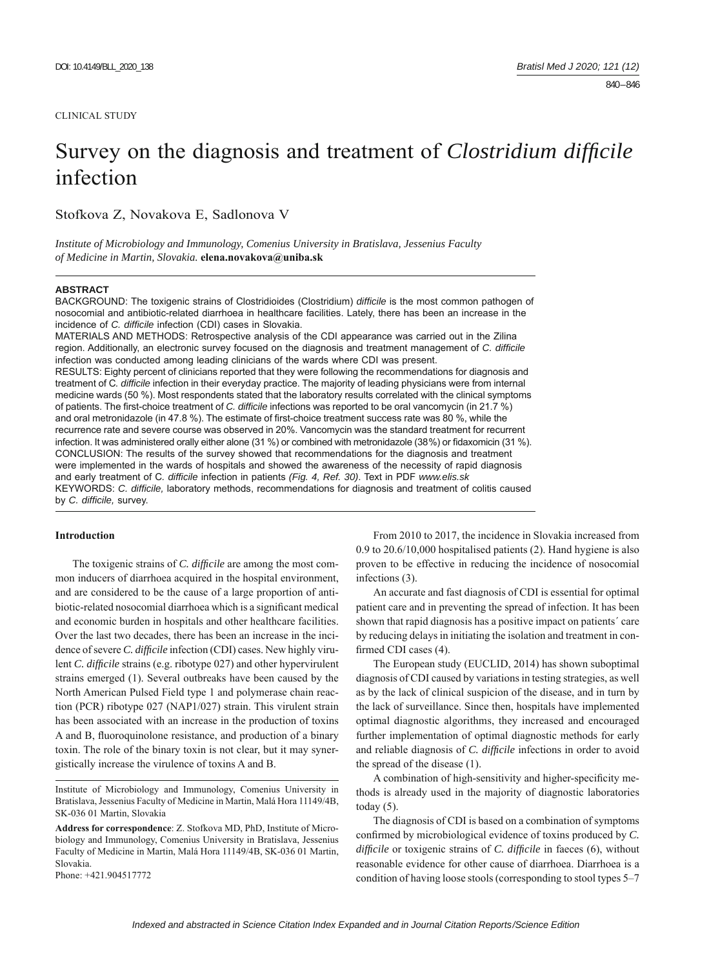#### CLINICAL STUDY

# Survey on the diagnosis and treatment of *Clostridium difficile* infection

Stofkova Z, Novakova E, Sadlonova V

*Institute of Microbiology and Immunology, Comenius University in Bratislava, Jessenius Faculty of Medicine in Martin, Slovakia.* **elena.novakova@uniba.sk**

#### **ABSTRACT**

BACKGROUND: The toxigenic strains of Clostridioides (Clostridium) *diffi cile* is the most common pathogen of nosocomial and antibiotic-related diarrhoea in healthcare facilities. Lately, there has been an increase in the incidence of *C. difficile* infection (CDI) cases in Slovakia.

MATERIALS AND METHODS: Retrospective analysis of the CDI appearance was carried out in the Zilina region. Additionally, an electronic survey focused on the diagnosis and treatment management of *C. diffi cile* infection was conducted among leading clinicians of the wards where CDI was present. RESULTS: Eighty percent of clinicians reported that they were following the recommendations for diagnosis and treatment of C*. diffi cile* infection in their everyday practice. The majority of leading physicians were from internal medicine wards (50 %). Most respondents stated that the laboratory results correlated with the clinical symptoms of patients. The first-choice treatment of *C. difficile* infections was reported to be oral vancomycin (in 21.7 %) and oral metronidazole (in 47.8 %). The estimate of first-choice treatment success rate was 80 %, while the recurrence rate and severe course was observed in 20%. Vancomycin was the standard treatment for recurrent infection. It was administered orally either alone (31 %) or combined with metronidazole (38%) or fidaxomicin (31 %). CONCLUSION: The results of the survey showed that recommendations for the diagnosis and treatment were implemented in the wards of hospitals and showed the awareness of the necessity of rapid diagnosis and early treatment of C. difficile infection in patients (Fig. 4, Ref. 30). Text in PDF www.elis.sk KEYWORDS: *C. diffi cile,* laboratory methods, recommendations for diagnosis and treatment of colitis caused by *C. difficile*, survey.

# **Introduction**

The toxigenic strains of *C. difficile* are among the most common inducers of diarrhoea acquired in the hospital environment, and are considered to be the cause of a large proportion of antibiotic-related nosocomial diarrhoea which is a significant medical and economic burden in hospitals and other healthcare facilities. Over the last two decades, there has been an increase in the incidence of severe *C. difficile* infection (CDI) cases. New highly virulent *C. difficile* strains (e.g. ribotype 027) and other hypervirulent strains emerged (1). Several outbreaks have been caused by the North American Pulsed Field type 1 and polymerase chain reaction (PCR) ribotype 027 (NAP1/027) strain. This virulent strain has been associated with an increase in the production of toxins A and B, fluoroquinolone resistance, and production of a binary toxin. The role of the binary toxin is not clear, but it may synergistically increase the virulence of toxins A and B.

Institute of Microbiology and Immunology, Comenius University in Bratislava, Jessenius Faculty of Medicine in Martin, Malá Hora 11149/4B, SK-036 01 Martin, Slovakia

Phone: +421.904517772

From 2010 to 2017, the incidence in Slovakia increased from 0.9 to 20.6/10,000 hospitalised patients (2). Hand hygiene is also proven to be effective in reducing the incidence of nosocomial infections (3).

An accurate and fast diagnosis of CDI is essential for optimal patient care and in preventing the spread of infection. It has been shown that rapid diagnosis has a positive impact on patients´ care by reducing delays in initiating the isolation and treatment in confirmed CDI cases (4).

The European study (EUCLID, 2014) has shown suboptimal diagnosis of CDI caused by variations in testing strategies, as well as by the lack of clinical suspicion of the disease, and in turn by the lack of surveillance. Since then, hospitals have implemented optimal diagnostic algorithms, they increased and encouraged further implementation of optimal diagnostic methods for early and reliable diagnosis of *C. difficile* infections in order to avoid the spread of the disease (1).

A combination of high-sensitivity and higher-specificity methods is already used in the majority of diagnostic laboratories today  $(5)$ .

The diagnosis of CDI is based on a combination of symptoms confirmed by microbiological evidence of toxins produced by *C*. *difficile* or toxigenic strains of *C. difficile* in faeces (6), without reasonable evidence for other cause of diarrhoea. Diarrhoea is a condition of having loose stools (corresponding to stool types 5–7

**Address for correspondence**: Z. Stofkova MD, PhD, Institute of Microbiology and Immunology, Comenius University in Bratislava, Jessenius Faculty of Medicine in Martin, Malá Hora 11149/4B, SK-036 01 Martin, Slovakia.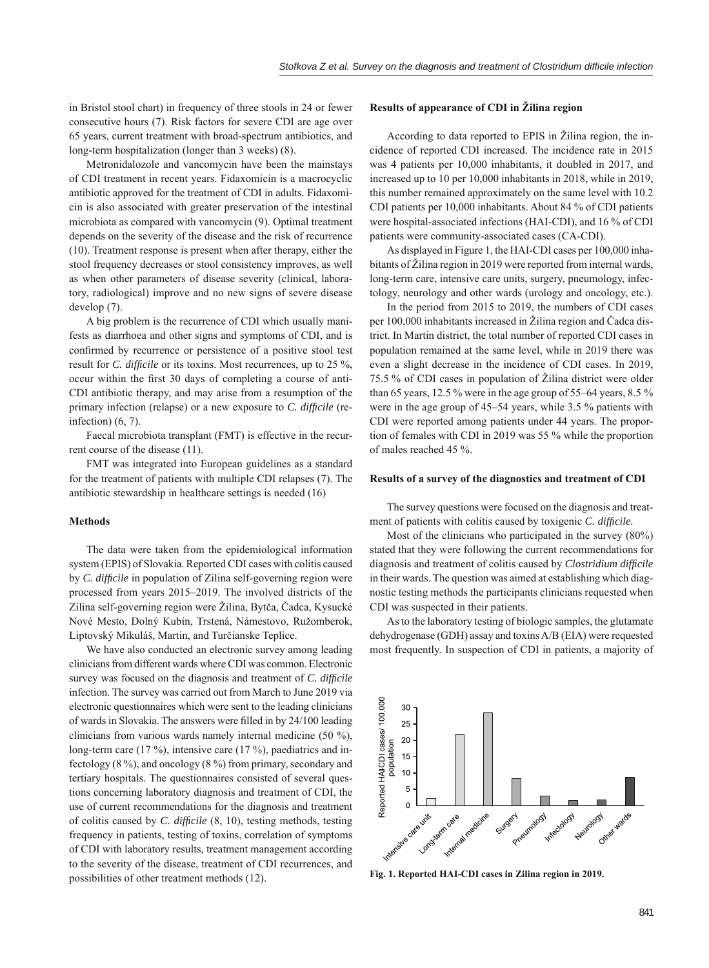in Bristol stool chart) in frequency of three stools in 24 or fewer consecutive hours (7). Risk factors for severe CDI are age over 65 years, current treatment with broad-spectrum antibiotics, and long-term hospitalization (longer than 3 weeks) (8).

Metronidalozole and vancomycin have been the mainstays of CDI treatment in recent years. Fidaxomicin is a macrocyclic antibiotic approved for the treatment of CDI in adults. Fidaxomicin is also associated with greater preservation of the intestinal microbiota as compared with vancomycin (9). Optimal treatment depends on the severity of the disease and the risk of recurrence (10). Treatment response is present when after therapy, either the stool frequency decreases or stool consistency improves, as well as when other parameters of disease severity (clinical, laboratory, radiological) improve and no new signs of severe disease develop (7).

A big problem is the recurrence of CDI which usually manifests as diarrhoea and other signs and symptoms of CDI, and is confirmed by recurrence or persistence of a positive stool test result for *C. difficile* or its toxins. Most recurrences, up to 25 %, occur within the first 30 days of completing a course of anti-CDI antibiotic therapy, and may arise from a resumption of the primary infection (relapse) or a new exposure to *C. difficile* (reinfection)  $(6, 7)$ .

Faecal microbiota transplant (FMT) is effective in the recurrent course of the disease (11).

FMT was integrated into European guidelines as a standard for the treatment of patients with multiple CDI relapses (7). The antibiotic stewardship in healthcare settings is needed (16)

# **Methods**

The data were taken from the epidemiological information system (EPIS) of Slovakia. Reported CDI cases with colitis caused by *C. difficile* in population of Zilina self-governing region were processed from years 2015–2019. The involved districts of the Zilina self-governing region were Žilina, Bytča, Čadca, Kysucké Nové Mesto, Dolný Kubín, Trstená, Námestovo, Ružomberok, Liptovský Mikuláš, Martin, and Turčianske Teplice.

We have also conducted an electronic survey among leading clinicians from different wards where CDI was common. Electronic survey was focused on the diagnosis and treatment of *C. difficile* infection. The survey was carried out from March to June 2019 via electronic questionnaires which were sent to the leading clinicians of wards in Slovakia. The answers were filled in by 24/100 leading clinicians from various wards namely internal medicine (50 %), long-term care (17 %), intensive care (17 %), paediatrics and infectology (8 %), and oncology (8 %) from primary, secondary and tertiary hospitals. The questionnaires consisted of several questions concerning laboratory diagnosis and treatment of CDI, the use of current recommendations for the diagnosis and treatment of colitis caused by *C. difficile* (8, 10), testing methods, testing frequency in patients, testing of toxins, correlation of symptoms of CDI with laboratory results, treatment management according to the severity of the disease, treatment of CDI recurrences, and possibilities of other treatment methods (12).

## **Results of appearance of CDI in Žilina region**

According to data reported to EPIS in Žilina region, the incidence of reported CDI increased. The incidence rate in 2015 was 4 patients per 10,000 inhabitants, it doubled in 2017, and increased up to 10 per 10,000 inhabitants in 2018, while in 2019, this number remained approximately on the same level with 10.2 CDI patients per 10,000 inhabitants. About 84 % of CDI patients were hospital-associated infections (HAI-CDI), and 16 % of CDI patients were community-associated cases (CA-CDI).

As displayed in Figure 1, the HAI-CDI cases per 100,000 inhabitants of Žilina region in 2019 were reported from internal wards, long-term care, intensive care units, surgery, pneumology, infectology, neurology and other wards (urology and oncology, etc.).

In the period from 2015 to 2019, the numbers of CDI cases per 100,000 inhabitants increased in Žilina region and Čadca district. In Martin district, the total number of reported CDI cases in population remained at the same level, while in 2019 there was even a slight decrease in the incidence of CDI cases. In 2019, 75.5 % of CDI cases in population of Žilina district were older than 65 years,  $12.5\%$  were in the age group of 55–64 years, 8.5 % were in the age group of 45–54 years, while 3.5 % patients with CDI were reported among patients under 44 years. The proportion of females with CDI in 2019 was 55 % while the proportion of males reached 45 %.

#### **Results of a survey of the diagnostics and treatment of CDI**

The survey questions were focused on the diagnosis and treatment of patients with colitis caused by toxigenic *C. difficile*.

Most of the clinicians who participated in the survey (80%) stated that they were following the current recommendations for diagnosis and treatment of colitis caused by *Clostridium difficile* in their wards. The question was aimed at establishing which diagnostic testing methods the participants clinicians requested when CDI was suspected in their patients.

As to the laboratory testing of biologic samples, the glutamate dehydrogenase (GDH) assay and toxins A/B (EIA) were requested most frequently. In suspection of CDI in patients, a majority of



**Fig. 1. Reported HAI-CDI cases in Zilina region in 2019.**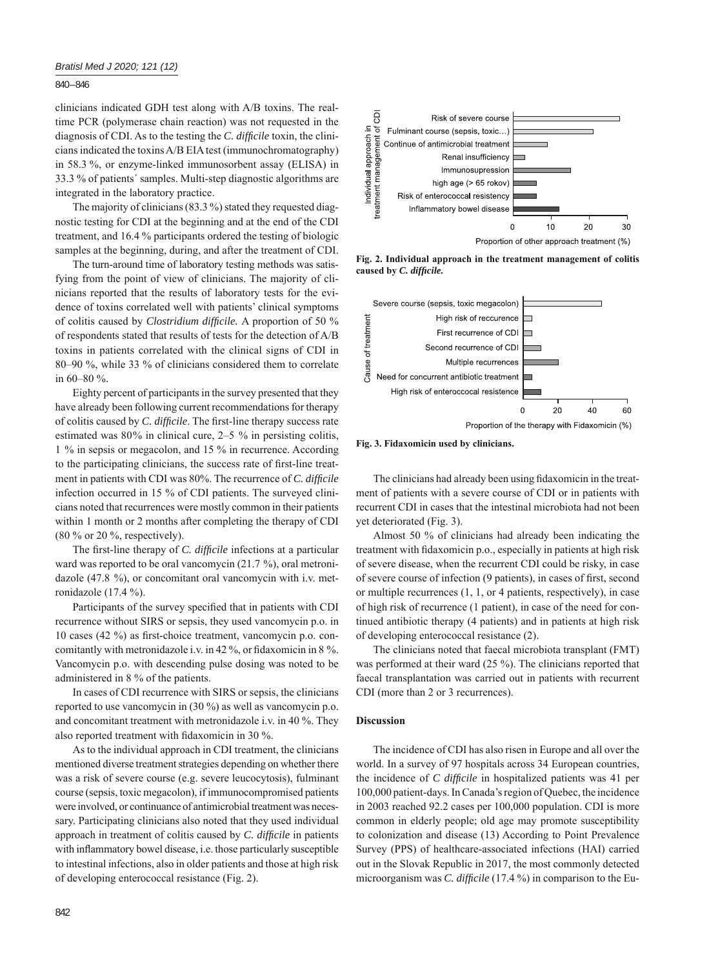840 – 846

clinicians indicated GDH test along with A/B toxins. The realtime PCR (polymerase chain reaction) was not requested in the diagnosis of CDI. As to the testing the *C. difficile* toxin, the clinicians indicated the toxins A/B EIA test (immunochromatography) in 58.3 %, or enzyme-linked immunosorbent assay (ELISA) in 33.3 % of patients´ samples. Multi-step diagnostic algorithms are integrated in the laboratory practice.

The majority of clinicians (83.3 %) stated they requested diagnostic testing for CDI at the beginning and at the end of the CDI treatment, and 16.4 % participants ordered the testing of biologic samples at the beginning, during, and after the treatment of CDI.

The turn-around time of laboratory testing methods was satisfying from the point of view of clinicians. The majority of clinicians reported that the results of laboratory tests for the evidence of toxins correlated well with patients' clinical symptoms of colitis caused by *Clostridium difficile*. A proportion of 50 % of respondents stated that results of tests for the detection of A/B toxins in patients correlated with the clinical signs of CDI in 80‒90 %, while 33 % of clinicians considered them to correlate in 60‒80 %.

Eighty percent of participants in the survey presented that they have already been following current recommendations for therapy of colitis caused by *C. difficile*. The first-line therapy success rate estimated was  $80\%$  in clinical cure,  $2-5\%$  in persisting colitis, 1 % in sepsis or megacolon, and 15 % in recurrence. According to the participating clinicians, the success rate of first-line treatment in patients with CDI was 80%. The recurrence of *C. difficile* infection occurred in 15 % of CDI patients. The surveyed clinicians noted that recurrences were mostly common in their patients within 1 month or 2 months after completing the therapy of CDI (80 % or 20 %, respectively).

The first-line therapy of *C. difficile* infections at a particular ward was reported to be oral vancomycin (21.7 %), oral metronidazole (47.8 %), or concomitant oral vancomycin with i.v. metronidazole (17.4 %).

Participants of the survey specified that in patients with CDI recurrence without SIRS or sepsis, they used vancomycin p.o. in 10 cases (42 %) as first-choice treatment, vancomycin p.o. concomitantly with metronidazole i.v. in 42 %, or fidaxomicin in 8 %. Vancomycin p.o. with descending pulse dosing was noted to be administered in 8 % of the patients.

In cases of CDI recurrence with SIRS or sepsis, the clinicians reported to use vancomycin in (30 %) as well as vancomycin p.o. and concomitant treatment with metronidazole i.v. in 40 %. They also reported treatment with fidaxomicin in 30 %.

As to the individual approach in CDI treatment, the clinicians mentioned diverse treatment strategies depending on whether there was a risk of severe course (e.g. severe leucocytosis), fulminant course (sepsis, toxic megacolon), if immunocompromised patients were involved, or continuance of antimicrobial treatment was necessary. Participating clinicians also noted that they used individual approach in treatment of colitis caused by *C. difficile* in patients with inflammatory bowel disease, i.e. those particularly susceptible to intestinal infections, also in older patients and those at high risk of developing enterococcal resistance (Fig. 2).



Proportion of other approach treatment (%)

**Fig. 2. Individual approach in the treatment management of colitis caused by** *C. diffi cile.*



**Fig. 3. Fidaxomicin used by clinicians.**

The clinicians had already been using fidaxomicin in the treatment of patients with a severe course of CDI or in patients with recurrent CDI in cases that the intestinal microbiota had not been yet deteriorated (Fig. 3).

Almost 50 % of clinicians had already been indicating the treatment with fidaxomicin p.o., especially in patients at high risk of severe disease, when the recurrent CDI could be risky, in case of severe course of infection (9 patients), in cases of first, second or multiple recurrences (1, 1, or 4 patients, respectively), in case of high risk of recurrence (1 patient), in case of the need for continued antibiotic therapy (4 patients) and in patients at high risk of developing enterococcal resistance (2).

The clinicians noted that faecal microbiota transplant (FMT) was performed at their ward (25 %). The clinicians reported that faecal transplantation was carried out in patients with recurrent CDI (more than 2 or 3 recurrences).

## **Discussion**

The incidence of CDI has also risen in Europe and all over the world. In a survey of 97 hospitals across 34 European countries, the incidence of *C difficile* in hospitalized patients was 41 per 100,000 patient-days. In Canada's region of Quebec, the incidence in 2003 reached 92.2 cases per 100,000 population. CDI is more common in elderly people; old age may promote susceptibility to colonization and disease (13) According to Point Prevalence Survey (PPS) of healthcare-associated infections (HAI) carried out in the Slovak Republic in 2017, the most commonly detected microorganism was *C. difficile* (17.4 %) in comparison to the Eu-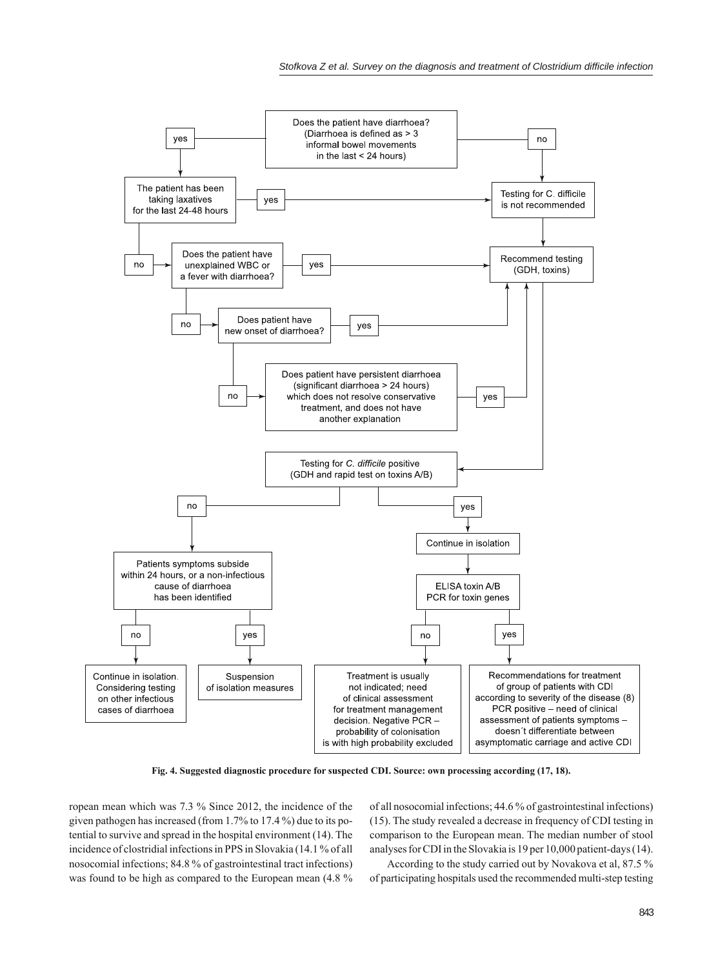

**Fig. 4. Suggested diagnostic procedure for suspected CDI. Source: own processing according (17, 18).**

ropean mean which was 7.3 % Since 2012, the incidence of the given pathogen has increased (from 1.7% to 17.4 %) due to its potential to survive and spread in the hospital environment (14). The incidence of clostridial infections in PPS in Slovakia (14.1 % of all nosocomial infections; 84.8 % of gastrointestinal tract infections) was found to be high as compared to the European mean (4.8 %

of all nosocomial infections; 44.6 % of gastrointestinal infections) (15). The study revealed a decrease in frequency of CDI testing in comparison to the European mean. The median number of stool analyses for CDI in the Slovakia is 19 per 10,000 patient-days (14).

According to the study carried out by Novakova et al, 87.5 % of participating hospitals used the recommended multi-step testing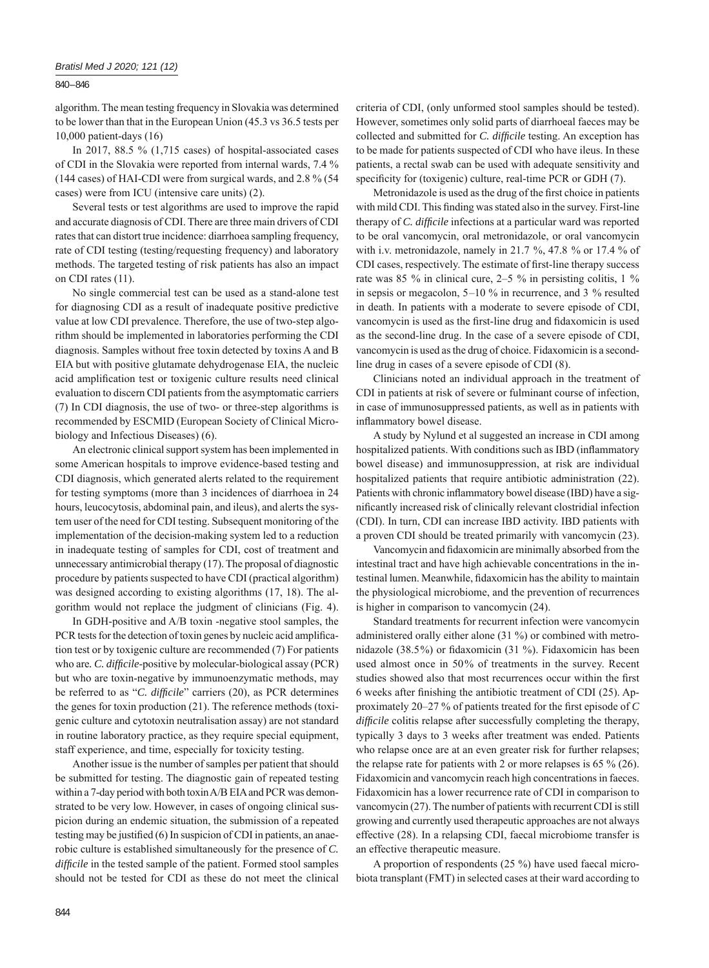#### 840 – 846

algorithm. The mean testing frequency in Slovakia was determined to be lower than that in the European Union (45.3 vs 36.5 tests per 10,000 patient-days (16)

In 2017, 88.5 % (1,715 cases) of hospital-associated cases of CDI in the Slovakia were reported from internal wards, 7.4 % (144 cases) of HAI-CDI were from surgical wards, and 2.8 % (54 cases) were from ICU (intensive care units) (2).

Several tests or test algorithms are used to improve the rapid and accurate diagnosis of CDI. There are three main drivers of CDI rates that can distort true incidence: diarrhoea sampling frequency, rate of CDI testing (testing/requesting frequency) and laboratory methods. The targeted testing of risk patients has also an impact on CDI rates (11).

No single commercial test can be used as a stand-alone test for diagnosing CDI as a result of inadequate positive predictive value at low CDI prevalence. Therefore, the use of two-step algorithm should be implemented in laboratories performing the CDI diagnosis. Samples without free toxin detected by toxins A and B EIA but with positive glutamate dehydrogenase EIA, the nucleic acid amplification test or toxigenic culture results need clinical evaluation to discern CDI patients from the asymptomatic carriers (7) In CDI diagnosis, the use of two- or three-step algorithms is recommended by ESCMID (European Society of Clinical Microbiology and Infectious Diseases) (6).

An electronic clinical support system has been implemented in some American hospitals to improve evidence-based testing and CDI diagnosis, which generated alerts related to the requirement for testing symptoms (more than 3 incidences of diarrhoea in 24 hours, leucocytosis, abdominal pain, and ileus), and alerts the system user of the need for CDI testing. Subsequent monitoring of the implementation of the decision-making system led to a reduction in inadequate testing of samples for CDI, cost of treatment and unnecessary antimicrobial therapy (17). The proposal of diagnostic procedure by patients suspected to have CDI (practical algorithm) was designed according to existing algorithms  $(17, 18)$ . The algorithm would not replace the judgment of clinicians (Fig. 4).

In GDH-positive and A/B toxin -negative stool samples, the PCR tests for the detection of toxin genes by nucleic acid amplification test or by toxigenic culture are recommended (7) For patients who are. C. difficile-positive by molecular-biological assay (PCR) but who are toxin-negative by immunoenzymatic methods, may be referred to as "*C. difficile*" carriers (20), as PCR determines the genes for toxin production (21). The reference methods (toxigenic culture and cytotoxin neutralisation assay) are not standard in routine laboratory practice, as they require special equipment, staff experience, and time, especially for toxicity testing.

Another issue is the number of samples per patient that should be submitted for testing. The diagnostic gain of repeated testing within a 7-day period with both toxin A/B EIA and PCR was demonstrated to be very low. However, in cases of ongoing clinical suspicion during an endemic situation, the submission of a repeated testing may be justified  $(6)$  In suspicion of CDI in patients, an anaerobic culture is established simultaneously for the presence of *C. difficile* in the tested sample of the patient. Formed stool samples should not be tested for CDI as these do not meet the clinical

criteria of CDI, (only unformed stool samples should be tested). However, sometimes only solid parts of diarrhoeal faeces may be collected and submitted for *C. difficile* testing. An exception has to be made for patients suspected of CDI who have ileus. In these patients, a rectal swab can be used with adequate sensitivity and specificity for (toxigenic) culture, real-time PCR or GDH (7).

Metronidazole is used as the drug of the first choice in patients with mild CDI. This finding was stated also in the survey. First-line therapy of *C. difficile* infections at a particular ward was reported to be oral vancomycin, oral metronidazole, or oral vancomycin with i.v. metronidazole, namely in 21.7 %, 47.8 % or 17.4 % of CDI cases, respectively. The estimate of first-line therapy success rate was 85 % in clinical cure, 2–5 % in persisting colitis, 1 % in sepsis or megacolon,  $5-10\%$  in recurrence, and 3 % resulted in death. In patients with a moderate to severe episode of CDI, vancomycin is used as the first-line drug and fidaxomicin is used as the second-line drug. In the case of a severe episode of CDI, vancomycin is used as the drug of choice. Fidaxomicin is a secondline drug in cases of a severe episode of CDI (8).

Clinicians noted an individual approach in the treatment of CDI in patients at risk of severe or fulminant course of infection, in case of immunosuppressed patients, as well as in patients with inflammatory bowel disease.

A study by Nylund et al suggested an increase in CDI among hospitalized patients. With conditions such as IBD (inflammatory bowel disease) and immunosuppression, at risk are individual hospitalized patients that require antibiotic administration (22). Patients with chronic inflammatory bowel disease (IBD) have a significantly increased risk of clinically relevant clostridial infection (CDI). In turn, CDI can increase IBD activity. IBD patients with a proven CDI should be treated primarily with vancomycin (23).

Vancomycin and fidaxomicin are minimally absorbed from the intestinal tract and have high achievable concentrations in the intestinal lumen. Meanwhile, fidaxomicin has the ability to maintain the physiological microbiome, and the prevention of recurrences is higher in comparison to vancomycin (24).

Standard treatments for recurrent infection were vancomycin administered orally either alone (31 %) or combined with metronidazole  $(38.5\%)$  or fidaxomicin  $(31\%)$ . Fidaxomicin has been used almost once in 50% of treatments in the survey. Recent studies showed also that most recurrences occur within the first 6 weeks after finishing the antibiotic treatment of CDI  $(25)$ . Approximately 20–27 % of patients treated for the first episode of *C difficile* colitis relapse after successfully completing the therapy, typically 3 days to 3 weeks after treatment was ended. Patients who relapse once are at an even greater risk for further relapses; the relapse rate for patients with 2 or more relapses is 65 % (26). Fidaxomicin and vancomycin reach high concentrations in faeces. Fidaxomicin has a lower recurrence rate of CDI in comparison to vancomycin (27). The number of patients with recurrent CDI is still growing and currently used therapeutic approaches are not always effective (28). In a relapsing CDI, faecal microbiome transfer is an effective therapeutic measure.

A proportion of respondents (25 %) have used faecal microbiota transplant (FMT) in selected cases at their ward according to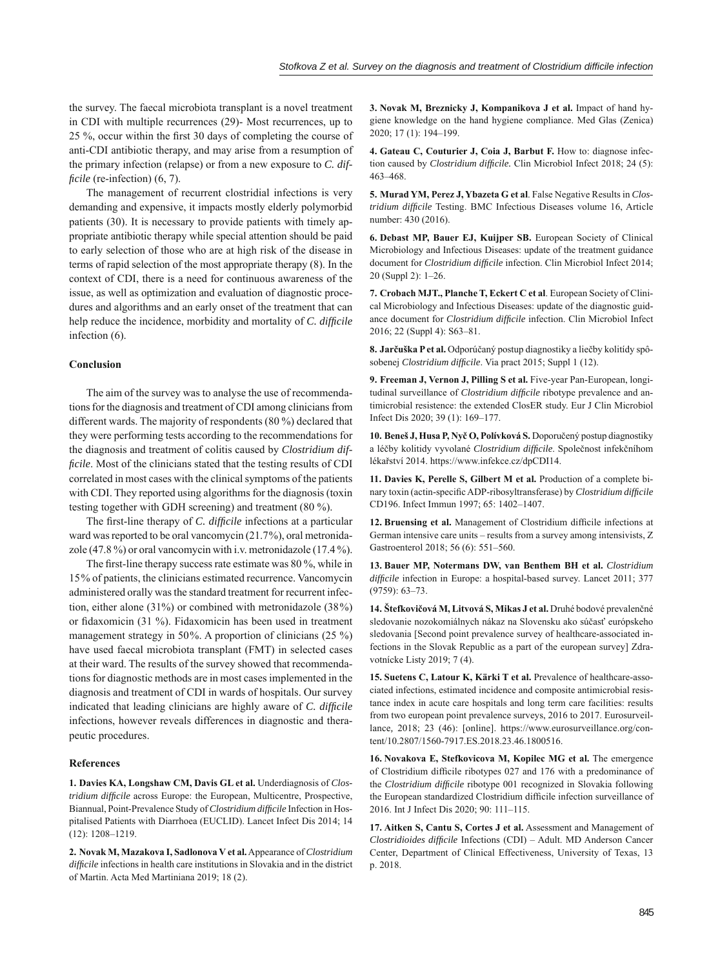the survey. The faecal microbiota transplant is a novel treatment in CDI with multiple recurrences (29)- Most recurrences, up to 25 %, occur within the first 30 days of completing the course of anti-CDI antibiotic therapy, and may arise from a resumption of the primary infection (relapse) or from a new exposure to *C. difficile* (re-infection) (6, 7).

The management of recurrent clostridial infections is very demanding and expensive, it impacts mostly elderly polymorbid patients (30). It is necessary to provide patients with timely appropriate antibiotic therapy while special attention should be paid to early selection of those who are at high risk of the disease in terms of rapid selection of the most appropriate therapy (8). In the context of CDI, there is a need for continuous awareness of the issue, as well as optimization and evaluation of diagnostic procedures and algorithms and an early onset of the treatment that can help reduce the incidence, morbidity and mortality of *C. difficile* infection (6).

## **Conclusion**

The aim of the survey was to analyse the use of recommendations for the diagnosis and treatment of CDI among clinicians from different wards. The majority of respondents (80 %) declared that they were performing tests according to the recommendations for the diagnosis and treatment of colitis caused by *Clostridium difficile*. Most of the clinicians stated that the testing results of CDI correlated in most cases with the clinical symptoms of the patients with CDI. They reported using algorithms for the diagnosis (toxin testing together with GDH screening) and treatment (80 %).

The first-line therapy of *C. difficile* infections at a particular ward was reported to be oral vancomycin (21.7%), oral metronidazole (47.8 %) or oral vancomycin with i.v. metronidazole (17.4 %).

The first-line therapy success rate estimate was 80 %, while in 15% of patients, the clinicians estimated recurrence. Vancomycin administered orally was the standard treatment for recurrent infection, either alone (31%) or combined with metronidazole (38%) or fidaxomicin (31 %). Fidaxomicin has been used in treatment management strategy in 50%. A proportion of clinicians (25 %) have used faecal microbiota transplant (FMT) in selected cases at their ward. The results of the survey showed that recommendations for diagnostic methods are in most cases implemented in the diagnosis and treatment of CDI in wards of hospitals. Our survey indicated that leading clinicians are highly aware of *C. difficile* infections, however reveals differences in diagnostic and therapeutic procedures.

## **References**

**1. Davies KA, Longshaw CM, Davis GL et al.** Underdiagnosis of *Clostridium difficile* across Europe: the European, Multicentre, Prospective, Biannual, Point-Prevalence Study of *Clostridium difficile* Infection in Hospitalised Patients with Diarrhoea (EUCLID). Lancet Infect Dis 2014; 14 (12): 1208–1219.

**2. Novak M, Mazakova I, Sadlonova V et al.** Appearance of *Clostridium difficile* infections in health care institutions in Slovakia and in the district of Martin. Acta Med Martiniana 2019; 18 (2).

**3. Novak M, Breznicky J, Kompanikova J et al.** Impact of hand hygiene knowledge on the hand hygiene compliance. Med Glas (Zenica) 2020; 17 (1): 194–199.

**4. Gateau C, Couturier J, Coia J, Barbut F.** How to: diagnose infection caused by *Clostridium difficile*. Clin Microbiol Infect 2018; 24 (5): 463–468.

**5. Murad YM, Perez J, Ybazeta G et al**. False Negative Results in *Clostridium difficile* Testing. BMC Infectious Diseases volume 16, Article number: 430 (2016).

**6. Debast MP, Bauer EJ, Kuijper SB.** European Society of Clinical Microbiology and Infectious Diseases: update of the treatment guidance document for *Clostridium difficile* infection. Clin Microbiol Infect 2014; 20 (Suppl 2): 1–26.

**7. Crobach MJT., Planche T, Eckert C et al**. European Society of Clinical Microbiology and Infectious Diseases: update of the diagnostic guidance document for *Clostridium difficile* infection. Clin Microbiol Infect 2016; 22 (Suppl 4): S63–81.

**8. Jarčuška P et al.** Odporúčaný postup diagnostiky a liečby kolitídy spôsobenej *Clostridium difficile*. Via pract 2015; Suppl 1 (12).

**9. Freeman J, Vernon J, Pilling S et al.** Five-year Pan-European, longitudinal surveillance of *Clostridium difficile* ribotype prevalence and antimicrobial resistence: the extended ClosER study. Eur J Clin Microbiol Infect Dis 2020; 39 (1): 169–177.

**10. Beneš J, Husa P, Nyč O, Polívková S.** Doporučený postup diagnostiky a léčby kolitidy vyvolané *Clostridium diffi cile*. Společnost infekčníhom lékařství 2014. https://www.infekce.cz/dpCDI14.

**11. Davies K, Perelle S, Gilbert M et al.** Production of a complete binary toxin (actin-specific ADP-ribosyltransferase) by *Clostridium difficile* CD196. Infect Immun 1997; 65: 1402–1407.

12. Bruensing et al. Management of Clostridium difficile infections at German intensive care units – results from a survey among intensivists, Z Gastroenterol 2018; 56 (6): 551–560.

**13. Bauer MP, Notermans DW, van Benthem BH et al.** *Clostridium diffi cile* infection in Europe: a hospital-based survey. Lancet 2011; 377 (9759): 63–73.

**14. Štefkovičová M, Litvová S, Mikas J et al.** Druhé bodové prevalenčné sledovanie nozokomiálnych nákaz na Slovensku ako súčasť európskeho sledovania [Second point prevalence survey of healthcare-associated infections in the Slovak Republic as a part of the european survey] Zdravotnícke Listy 2019; 7 (4).

**15. Suetens C, Latour K, Kärki T et al.** Prevalence of healthcare-associated infections, estimated incidence and composite antimicrobial resistance index in acute care hospitals and long term care facilities: results from two european point prevalence surveys, 2016 to 2017. Eurosurveillance*,* 2018; 23 (46): [online]. https://www.eurosurveillance.org/content/10.2807/1560-7917.ES.2018.23.46.1800516.

**16. Novakova E, Stefkovicova M, Kopilec MG et al.** The emergence of Clostridium difficile ribotypes 027 and 176 with a predominance of the *Clostridium difficile* ribotype 001 recognized in Slovakia following the European standardized Clostridium difficile infection surveillance of 2016. Int J Infect Dis 2020; 90: 111–115.

**17. Aitken S, Cantu S, Cortes J et al.** Assessment and Management of *Clostridioides difficile* Infections (CDI) – Adult. MD Anderson Cancer Center, Department of Clinical Effectiveness, University of Texas, 13 p. 2018.